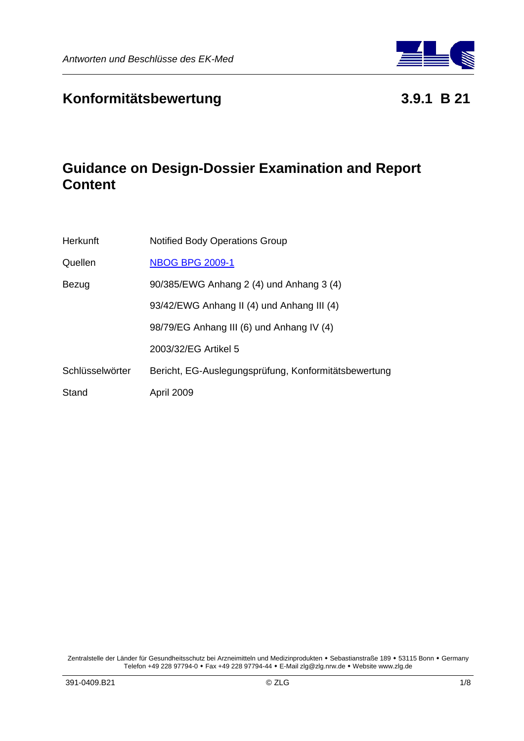

# **Konformitätsbewertung 3.9.1 B 21**

# **Guidance on Design-Dossier Examination and Report Content**

| <b>Herkunft</b> | <b>Notified Body Operations Group</b>                |
|-----------------|------------------------------------------------------|
| Quellen         | <b>NBOG BPG 2009-1</b>                               |
| Bezug           | 90/385/EWG Anhang 2 (4) und Anhang 3 (4)             |
|                 | 93/42/EWG Anhang II (4) und Anhang III (4)           |
|                 | 98/79/EG Anhang III (6) und Anhang IV (4)            |
|                 | 2003/32/EG Artikel 5                                 |
| Schlüsselwörter | Bericht, EG-Auslegungsprüfung, Konformitätsbewertung |
| Stand           | April 2009                                           |

Zentralstelle der Länder für Gesundheitsschutz bei Arzneimitteln und Medizinprodukten • Sebastianstraße 189 • 53115 Bonn • Germany Telefon +49 228 97794-0 Fax +49 228 97794-44 E-Mail zlg@zlg.nrw.de Website www.zlg.de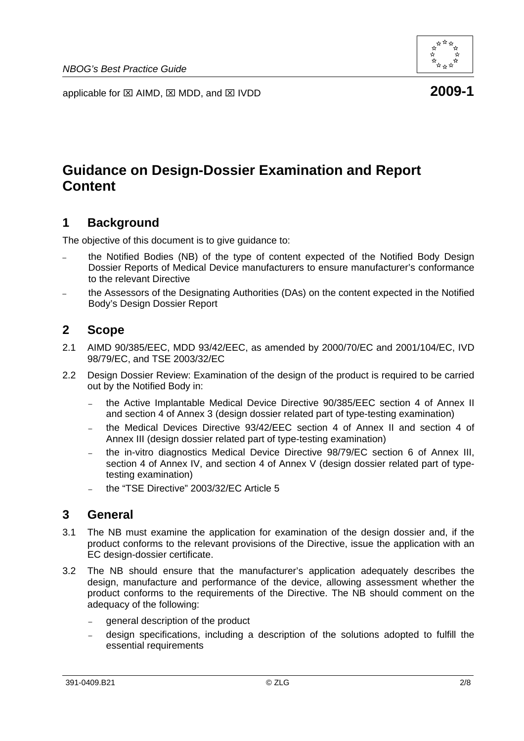

applicable for ⊠ AIMD, ⊠ MDD, and ⊠ IVDD **2009-1** 

# **Guidance on Design-Dossier Examination and Report Content**

# **1 Background**

The objective of this document is to give guidance to:

- the Notified Bodies (NB) of the type of content expected of the Notified Body Design Dossier Reports of Medical Device manufacturers to ensure manufacturer's conformance to the relevant Directive
- the Assessors of the Designating Authorities (DAs) on the content expected in the Notified Body's Design Dossier Report

### **2 Scope**

- 2.1 AIMD 90/385/EEC, MDD 93/42/EEC, as amended by 2000/70/EC and 2001/104/EC, IVD 98/79/EC, and TSE 2003/32/EC
- 2.2 Design Dossier Review: Examination of the design of the product is required to be carried out by the Notified Body in:
	- the Active Implantable Medical Device Directive 90/385/EEC section 4 of Annex II and section 4 of Annex 3 (design dossier related part of type-testing examination)
	- the Medical Devices Directive 93/42/EEC section 4 of Annex II and section 4 of Annex III (design dossier related part of type-testing examination)
	- the in-vitro diagnostics Medical Device Directive 98/79/EC section 6 of Annex III, section 4 of Annex IV, and section 4 of Annex V (design dossier related part of typetesting examination)
	- the "TSE Directive" 2003/32/EC Article 5

# **3 General**

- 3.1 The NB must examine the application for examination of the design dossier and, if the product conforms to the relevant provisions of the Directive, issue the application with an EC design-dossier certificate.
- 3.2 The NB should ensure that the manufacturer's application adequately describes the design, manufacture and performance of the device, allowing assessment whether the product conforms to the requirements of the Directive. The NB should comment on the adequacy of the following:
	- general description of the product
	- design specifications, including a description of the solutions adopted to fulfill the essential requirements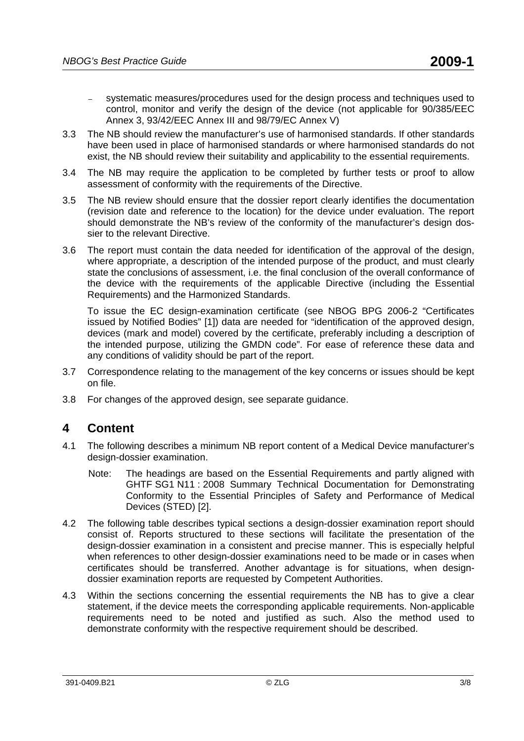- systematic measures/procedures used for the design process and techniques used to control, monitor and verify the design of the device (not applicable for 90/385/EEC Annex 3, 93/42/EEC Annex III and 98/79/EC Annex V)
- 3.3 The NB should review the manufacturer's use of harmonised standards. If other standards have been used in place of harmonised standards or where harmonised standards do not exist, the NB should review their suitability and applicability to the essential requirements.
- 3.4 The NB may require the application to be completed by further tests or proof to allow assessment of conformity with the requirements of the Directive.
- 3.5 The NB review should ensure that the dossier report clearly identifies the documentation (revision date and reference to the location) for the device under evaluation. The report should demonstrate the NB's review of the conformity of the manufacturer's design dossier to the relevant Directive.
- 3.6 The report must contain the data needed for identification of the approval of the design, where appropriate, a description of the intended purpose of the product, and must clearly state the conclusions of assessment, i.e. the final conclusion of the overall conformance of the device with the requirements of the applicable Directive (including the Essential Requirements) and the Harmonized Standards.

To issue the EC design-examination certificate (see NBOG BPG 2006-2 "Certificates issued by Notified Bodies" [1]) data are needed for "identification of the approved design, devices (mark and model) covered by the certificate, preferably including a description of the intended purpose, utilizing the GMDN code". For ease of reference these data and any conditions of validity should be part of the report.

- 3.7 Correspondence relating to the management of the key concerns or issues should be kept on file.
- 3.8 For changes of the approved design, see separate guidance.

# **4 Content**

- 4.1 The following describes a minimum NB report content of a Medical Device manufacturer's design-dossier examination.
	- Note: The headings are based on the Essential Requirements and partly aligned with GHTF SG1 N11 : 2008 Summary Technical Documentation for Demonstrating Conformity to the Essential Principles of Safety and Performance of Medical Devices (STED) [2].
- 4.2 The following table describes typical sections a design-dossier examination report should consist of. Reports structured to these sections will facilitate the presentation of the design-dossier examination in a consistent and precise manner. This is especially helpful when references to other design-dossier examinations need to be made or in cases when certificates should be transferred. Another advantage is for situations, when designdossier examination reports are requested by Competent Authorities.
- 4.3 Within the sections concerning the essential requirements the NB has to give a clear statement, if the device meets the corresponding applicable requirements. Non-applicable requirements need to be noted and justified as such. Also the method used to demonstrate conformity with the respective requirement should be described.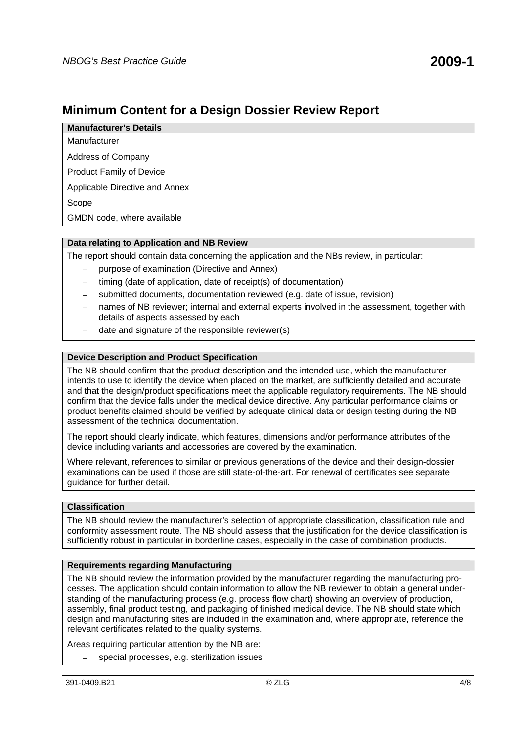### **Minimum Content for a Design Dossier Review Report**

**Manufacturer's Details**  Manufacturer

Address of Company

Product Family of Device

Applicable Directive and Annex

Scope

GMDN code, where available

### **Data relating to Application and NB Review**

The report should contain data concerning the application and the NBs review, in particular:

- purpose of examination (Directive and Annex)
- timing (date of application, date of receipt(s) of documentation)
- submitted documents, documentation reviewed (e.g. date of issue, revision)
- names of NB reviewer; internal and external experts involved in the assessment, together with details of aspects assessed by each
- date and signature of the responsible reviewer(s)

### **Device Description and Product Specification**

The NB should confirm that the product description and the intended use, which the manufacturer intends to use to identify the device when placed on the market, are sufficiently detailed and accurate and that the design/product specifications meet the applicable regulatory requirements. The NB should confirm that the device falls under the medical device directive. Any particular performance claims or product benefits claimed should be verified by adequate clinical data or design testing during the NB assessment of the technical documentation.

The report should clearly indicate, which features, dimensions and/or performance attributes of the device including variants and accessories are covered by the examination.

Where relevant, references to similar or previous generations of the device and their design-dossier examinations can be used if those are still state-of-the-art. For renewal of certificates see separate guidance for further detail.

### **Classification**

The NB should review the manufacturer's selection of appropriate classification, classification rule and conformity assessment route. The NB should assess that the justification for the device classification is sufficiently robust in particular in borderline cases, especially in the case of combination products.

### **Requirements regarding Manufacturing**

The NB should review the information provided by the manufacturer regarding the manufacturing processes. The application should contain information to allow the NB reviewer to obtain a general understanding of the manufacturing process (e.g. process flow chart) showing an overview of production, assembly, final product testing, and packaging of finished medical device. The NB should state which design and manufacturing sites are included in the examination and, where appropriate, reference the relevant certificates related to the quality systems.

Areas requiring particular attention by the NB are:

– special processes, e.g. sterilization issues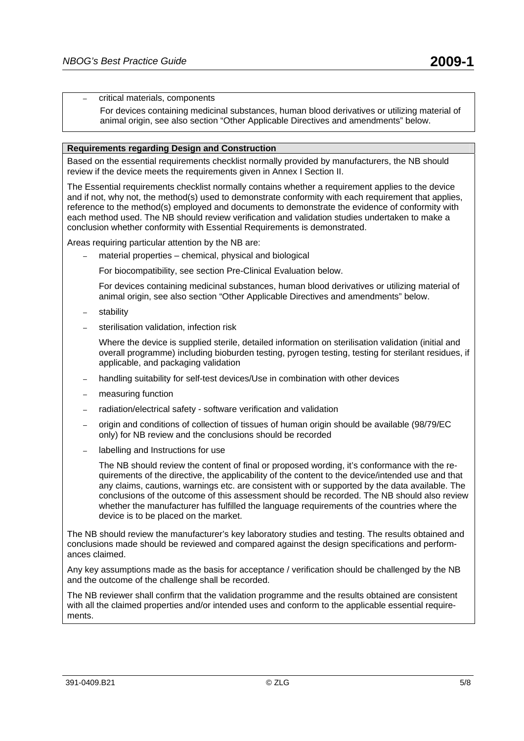– critical materials, components

For devices containing medicinal substances, human blood derivatives or utilizing material of animal origin, see also section "Other Applicable Directives and amendments" below.

#### **Requirements regarding Design and Construction**

Based on the essential requirements checklist normally provided by manufacturers, the NB should review if the device meets the requirements given in Annex I Section II.

The Essential requirements checklist normally contains whether a requirement applies to the device and if not, why not, the method(s) used to demonstrate conformity with each requirement that applies, reference to the method(s) employed and documents to demonstrate the evidence of conformity with each method used. The NB should review verification and validation studies undertaken to make a conclusion whether conformity with Essential Requirements is demonstrated.

Areas requiring particular attention by the NB are:

– material properties – chemical, physical and biological

For biocompatibility, see section Pre-Clinical Evaluation below.

For devices containing medicinal substances, human blood derivatives or utilizing material of animal origin, see also section "Other Applicable Directives and amendments" below.

- stability
- sterilisation validation, infection risk

Where the device is supplied sterile, detailed information on sterilisation validation (initial and overall programme) including bioburden testing, pyrogen testing, testing for sterilant residues, if applicable, and packaging validation

- handling suitability for self-test devices/Use in combination with other devices
- measuring function
- radiation/electrical safety software verification and validation
- origin and conditions of collection of tissues of human origin should be available (98/79/EC only) for NB review and the conclusions should be recorded
- labelling and Instructions for use

The NB should review the content of final or proposed wording, it's conformance with the requirements of the directive, the applicability of the content to the device/intended use and that any claims, cautions, warnings etc. are consistent with or supported by the data available. The conclusions of the outcome of this assessment should be recorded. The NB should also review whether the manufacturer has fulfilled the language requirements of the countries where the device is to be placed on the market.

The NB should review the manufacturer's key laboratory studies and testing. The results obtained and conclusions made should be reviewed and compared against the design specifications and performances claimed.

Any key assumptions made as the basis for acceptance / verification should be challenged by the NB and the outcome of the challenge shall be recorded.

The NB reviewer shall confirm that the validation programme and the results obtained are consistent with all the claimed properties and/or intended uses and conform to the applicable essential requirements.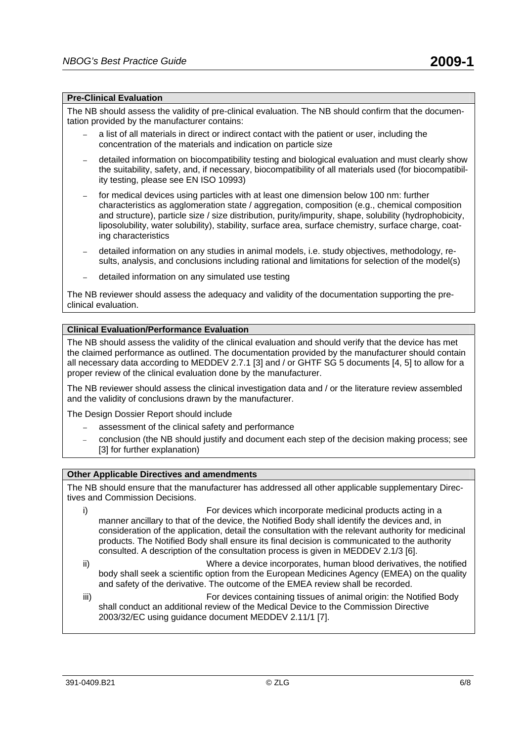#### **Pre-Clinical Evaluation**

The NB should assess the validity of pre-clinical evaluation. The NB should confirm that the documentation provided by the manufacturer contains:

- a list of all materials in direct or indirect contact with the patient or user, including the concentration of the materials and indication on particle size
- detailed information on biocompatibility testing and biological evaluation and must clearly show the suitability, safety, and, if necessary, biocompatibility of all materials used (for biocompatibility testing, please see EN ISO 10993)
- for medical devices using particles with at least one dimension below 100 nm: further characteristics as agglomeration state / aggregation, composition (e.g., chemical composition and structure), particle size / size distribution, purity/impurity, shape, solubility (hydrophobicity, liposolubility, water solubility), stability, surface area, surface chemistry, surface charge, coating characteristics
- detailed information on any studies in animal models, i.e. study objectives, methodology, results, analysis, and conclusions including rational and limitations for selection of the model(s)
- detailed information on any simulated use testing

The NB reviewer should assess the adequacy and validity of the documentation supporting the preclinical evaluation.

#### **Clinical Evaluation/Performance Evaluation**

The NB should assess the validity of the clinical evaluation and should verify that the device has met the claimed performance as outlined. The documentation provided by the manufacturer should contain all necessary data according to MEDDEV 2.7.1 [3] and / or GHTF SG 5 documents [4, 5] to allow for a proper review of the clinical evaluation done by the manufacturer.

The NB reviewer should assess the clinical investigation data and / or the literature review assembled and the validity of conclusions drawn by the manufacturer.

The Design Dossier Report should include

- assessment of the clinical safety and performance
- conclusion (the NB should justify and document each step of the decision making process; see [3] for further explanation)

#### **Other Applicable Directives and amendments**

The NB should ensure that the manufacturer has addressed all other applicable supplementary Directives and Commission Decisions.

- i) For devices which incorporate medicinal products acting in a manner ancillary to that of the device, the Notified Body shall identify the devices and, in consideration of the application, detail the consultation with the relevant authority for medicinal products. The Notified Body shall ensure its final decision is communicated to the authority consulted. A description of the consultation process is given in MEDDEV 2.1/3 [6].
- ii) Where a device incorporates, human blood derivatives, the notified body shall seek a scientific option from the European Medicines Agency (EMEA) on the quality and safety of the derivative. The outcome of the EMEA review shall be recorded.
- iii) For devices containing tissues of animal origin: the Notified Body shall conduct an additional review of the Medical Device to the Commission Directive 2003/32/EC using guidance document MEDDEV 2.11/1 [7].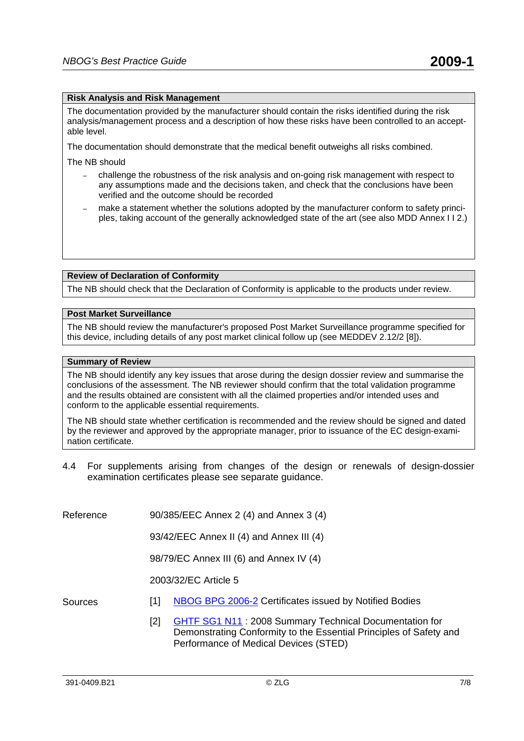### **Risk Analysis and Risk Management**

The documentation provided by the manufacturer should contain the risks identified during the risk analysis/management process and a description of how these risks have been controlled to an acceptable level.

The documentation should demonstrate that the medical benefit outweighs all risks combined.

The NB should

- challenge the robustness of the risk analysis and on-going risk management with respect to any assumptions made and the decisions taken, and check that the conclusions have been verified and the outcome should be recorded
- make a statement whether the solutions adopted by the manufacturer conform to safety principles, taking account of the generally acknowledged state of the art (see also MDD Annex I I 2.)

#### **Review of Declaration of Conformity**

The NB should check that the Declaration of Conformity is applicable to the products under review.

#### **Post Market Surveillance**

The NB should review the manufacturer's proposed Post Market Surveillance programme specified for this device, including details of any post market clinical follow up (see MEDDEV 2.12/2 [8]).

#### **Summary of Review**

The NB should identify any key issues that arose during the design dossier review and summarise the conclusions of the assessment. The NB reviewer should confirm that the total validation programme and the results obtained are consistent with all the claimed properties and/or intended uses and conform to the applicable essential requirements.

The NB should state whether certification is recommended and the review should be signed and dated by the reviewer and approved by the appropriate manager, prior to issuance of the EC design-examination certificate.

- 4.4 For supplements arising from changes of the design or renewals of design-dossier examination certificates please see separate guidance.
- Reference 90/385/EEC Annex 2 (4) and Annex 3 (4)

93/42/EEC Annex II (4) and Annex III (4)

98/79/EC Annex III (6) and Annex IV (4)

2003/32/EC Article 5

- Sources [1] [NBOG BPG 2006-2](http://www.nbog.eu/resources/NBOG_BPG_2006_21.pdf) Certificates issued by Notified Bodies
	- [2] [GHTF SG1 N11](http://www.ghtf.org/documents/sg1/sg1final-n11.pdf) : 2008 Summary Technical Documentation for Demonstrating Conformity to the Essential Principles of Safety and Performance of Medical Devices (STED)